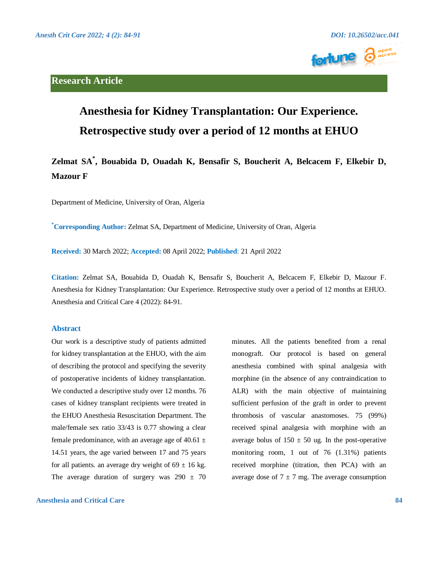



# **Anesthesia for Kidney Transplantation: Our Experience. Retrospective study over a period of 12 months at EHUO**

## **Zelmat SA\* , Bouabida D, Ouadah K, Bensafir S, Boucherit A, Belcacem F, Elkebir D, Mazour F**

Department of Medicine, University of Oran, Algeria

**\*Corresponding Author:** Zelmat SA, Department of Medicine, University of Oran, Algeria

**Received:** 30 March 2022; **Accepted:** 08 April 2022; **Published**: 21 April 2022

**Citation:** Zelmat SA, Bouabida D, Ouadah K, Bensafir S, Boucherit A, Belcacem F, Elkebir D, Mazour F. Anesthesia for Kidney Transplantation: Our Experience. Retrospective study over a period of 12 months at EHUO. Anesthesia and Critical Care 4 (2022): 84-91.

#### **Abstract**

Our work is a descriptive study of patients admitted for kidney transplantation at the EHUO, with the aim of describing the protocol and specifying the severity of postoperative incidents of kidney transplantation. We conducted a descriptive study over 12 months. 76 cases of kidney transplant recipients were treated in the EHUO Anesthesia Resuscitation Department. The male/female sex ratio 33/43 is 0.77 showing a clear female predominance, with an average age of 40.61  $\pm$ 14.51 years, the age varied between 17 and 75 years for all patients. an average dry weight of  $69 \pm 16$  kg. The average duration of surgery was  $290 \pm 70$ 

**Anesthesia and Critical Care 84**

minutes. All the patients benefited from a renal monograft. Our protocol is based on general anesthesia combined with spinal analgesia with morphine (in the absence of any contraindication to ALR) with the main objective of maintaining sufficient perfusion of the graft in order to prevent thrombosis of vascular anastomoses. 75 (99%) received spinal analgesia with morphine with an average bolus of  $150 \pm 50$  ug. In the post-operative monitoring room, 1 out of 76 (1.31%) patients received morphine (titration, then PCA) with an average dose of  $7 \pm 7$  mg. The average consumption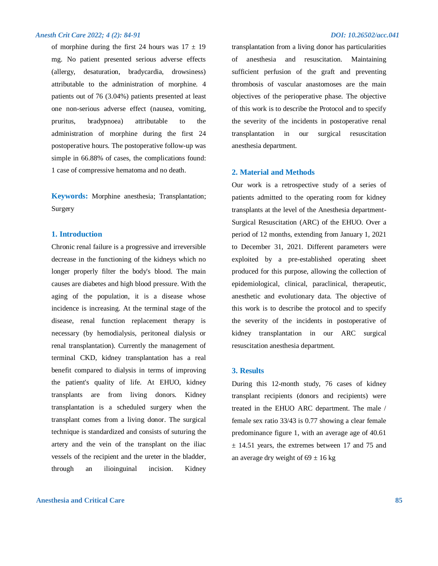#### *Anesth Crit Care 2022; 4 (2): 84-91 DOI: 10.26502/acc.041*

of morphine during the first 24 hours was  $17 \pm 19$ mg. No patient presented serious adverse effects (allergy, desaturation, bradycardia, drowsiness) attributable to the administration of morphine. 4 patients out of 76 (3.04%) patients presented at least one non-serious adverse effect (nausea, vomiting, pruritus, bradypnoea) attributable to the administration of morphine during the first 24 postoperative hours. The postoperative follow-up was simple in 66.88% of cases, the complications found: 1 case of compressive hematoma and no death.

**Keywords:** Morphine anesthesia; Transplantation; Surgery

#### **1. Introduction**

Chronic renal failure is a progressive and irreversible decrease in the functioning of the kidneys which no longer properly filter the body's blood. The main causes are diabetes and high blood pressure. With the aging of the population, it is a disease whose incidence is increasing. At the terminal stage of the disease, renal function replacement therapy is necessary (by hemodialysis, peritoneal dialysis or renal transplantation). Currently the management of terminal CKD, kidney transplantation has a real benefit compared to dialysis in terms of improving the patient's quality of life. At EHUO, kidney transplants are from living donors. Kidney transplantation is a scheduled surgery when the transplant comes from a living donor. The surgical technique is standardized and consists of suturing the artery and the vein of the transplant on the iliac vessels of the recipient and the ureter in the bladder, through an ilioinguinal incision. Kidney

### **Anesthesia and Critical Care 85**

transplantation from a living donor has particularities of anesthesia and resuscitation. Maintaining sufficient perfusion of the graft and preventing thrombosis of vascular anastomoses are the main objectives of the perioperative phase. The objective of this work is to describe the Protocol and to specify the severity of the incidents in postoperative renal transplantation in our surgical resuscitation anesthesia department.

#### **2. Material and Methods**

Our work is a retrospective study of a series of patients admitted to the operating room for kidney transplants at the level of the Anesthesia department-Surgical Resuscitation (ARC) of the EHUO. Over a period of 12 months, extending from January 1, 2021 to December 31, 2021. Different parameters were exploited by a pre-established operating sheet produced for this purpose, allowing the collection of epidemiological, clinical, paraclinical, therapeutic, anesthetic and evolutionary data. The objective of this work is to describe the protocol and to specify the severity of the incidents in postoperative of kidney transplantation in our ARC surgical resuscitation anesthesia department.

#### **3. Results**

During this 12-month study, 76 cases of kidney transplant recipients (donors and recipients) were treated in the EHUO ARC department. The male / female sex ratio 33/43 is 0.77 showing a clear female predominance figure 1, with an average age of 40.61  $\pm$  14.51 years, the extremes between 17 and 75 and an average dry weight of  $69 \pm 16$  kg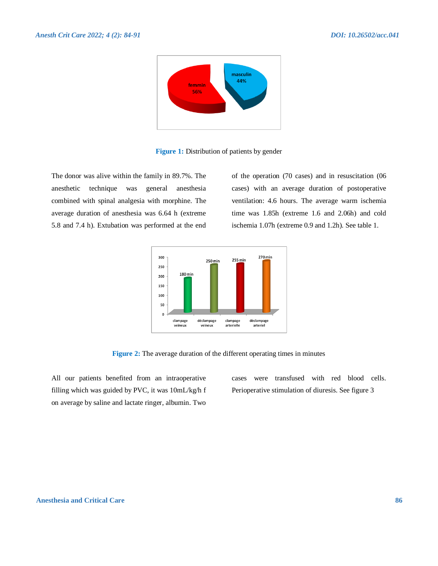

**Figure 1:** Distribution of patients by gender

The donor was alive within the family in 89.7%. The anesthetic technique was general anesthesia combined with spinal analgesia with morphine. The average duration of anesthesia was 6.64 h (extreme 5.8 and 7.4 h). Extubation was performed at the end

of the operation (70 cases) and in resuscitation (06 cases) with an average duration of postoperative ventilation: 4.6 hours. The average warm ischemia time was 1.85h (extreme 1.6 and 2.06h) and cold ischemia 1.07h (extreme 0.9 and 1.2h). See table 1.



**Figure 2:** The average duration of the different operating times in minutes

All our patients benefited from an intraoperative filling which was guided by PVC, it was 10mL/kg/h f on average by saline and lactate ringer, albumin. Two

cases were transfused with red blood cells. Perioperative stimulation of diuresis. See figure 3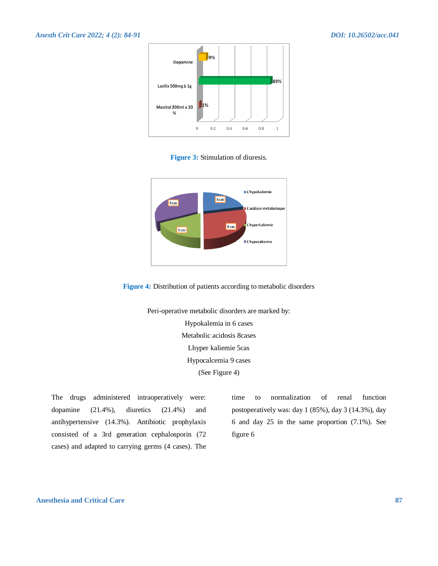

**Figure 3:** Stimulation of diuresis.





Peri-operative metabolic disorders are marked by: Hypokalemia in 6 cases Metabolic acidosis 8cases Lhyper kaliemie 5cas Hypocalcemia 9 cases (See Figure 4)

The drugs administered intraoperatively were: dopamine (21.4%), diuretics (21.4%) and antihypertensive (14.3%). Antibiotic prophylaxis consisted of a 3rd generation cephalosporin (72 cases) and adapted to carrying germs (4 cases). The

time to normalization of renal function postoperatively was: day 1 (85%), day 3 (14.3%), day 6 and day 25 in the same proportion (7.1%). See figure 6

#### **Anesthesia and Critical Care 87**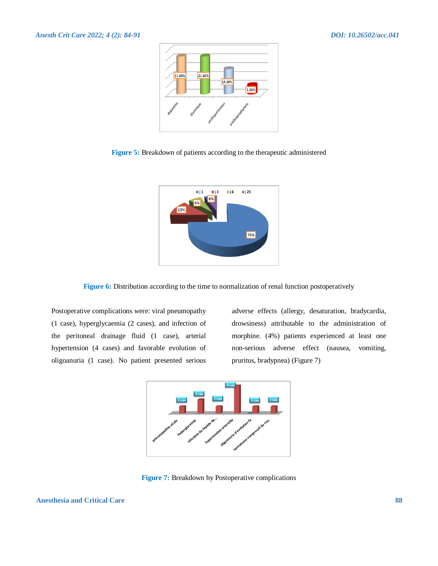

**Figure 5:** Breakdown of patients according to the therapeutic administered



**Figure 6:** Distribution according to the time to normalization of renal function postoperatively

Postoperative complications were: viral pneumopathy (1 case), hyperglycaemia (2 cases), and infection of the peritoneal drainage fluid (1 case), arterial hypertension (4 cases) and favorable evolution of oligoanuria (1 case). No patient presented serious

adverse effects (allergy, desaturation, bradycardia, drowsiness) attributable to the administration of morphine. (4%) patients experienced at least one non-serious adverse effect (nausea, vomiting, pruritus, bradypnea) (Figure 7)



**Figure 7:** Breakdown by Postoperative complications

**Anesthesia and Critical Care 88**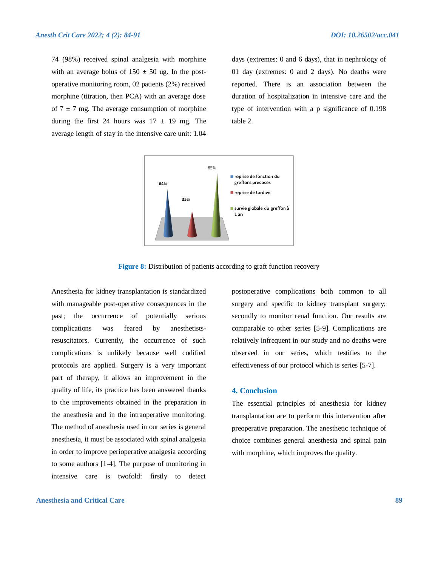74 (98%) received spinal analgesia with morphine with an average bolus of  $150 \pm 50$  ug. In the postoperative monitoring room, 02 patients (2%) received morphine (titration, then PCA) with an average dose of  $7 \pm 7$  mg. The average consumption of morphine during the first 24 hours was  $17 \pm 19$  mg. The average length of stay in the intensive care unit: 1.04

days (extremes: 0 and 6 days), that in nephrology of 01 day (extremes: 0 and 2 days). No deaths were reported. There is an association between the duration of hospitalization in intensive care and the type of intervention with a p significance of 0.198 table 2.



**Figure 8:** Distribution of patients according to graft function recovery

Anesthesia for kidney transplantation is standardized with manageable post-operative consequences in the past; the occurrence of potentially serious complications was feared by anesthetistsresuscitators. Currently, the occurrence of such complications is unlikely because well codified protocols are applied. Surgery is a very important part of therapy, it allows an improvement in the quality of life, its practice has been answered thanks to the improvements obtained in the preparation in the anesthesia and in the intraoperative monitoring. The method of anesthesia used in our series is general anesthesia, it must be associated with spinal analgesia in order to improve perioperative analgesia according to some authors [1-4]. The purpose of monitoring in intensive care is twofold: firstly to detect

### **Anesthesia and Critical Care 89**

postoperative complications both common to all surgery and specific to kidney transplant surgery; secondly to monitor renal function. Our results are comparable to other series [5-9]. Complications are relatively infrequent in our study and no deaths were observed in our series, which testifies to the effectiveness of our protocol which is series [5-7].

#### **4. Conclusion**

The essential principles of anesthesia for kidney transplantation are to perform this intervention after preoperative preparation. The anesthetic technique of choice combines general anesthesia and spinal pain with morphine, which improves the quality.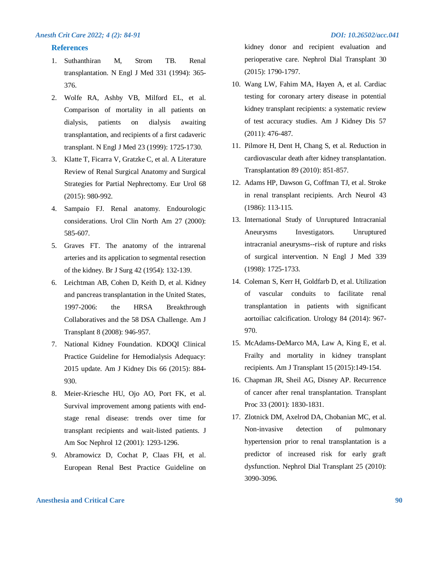#### **References**

- 1. Suthanthiran M, Strom TB. Renal transplantation. N Engl J Med 331 (1994): 365- 376.
- 2. Wolfe RA, Ashby VB, Milford EL, et al. Comparison of mortality in all patients on dialysis, patients on dialysis awaiting transplantation, and recipients of a first cadaveric transplant. N Engl J Med 23 (1999): 1725-1730.
- 3. Klatte T, Ficarra V, Gratzke C, et al. A Literature Review of Renal Surgical Anatomy and Surgical Strategies for Partial Nephrectomy. Eur Urol 68 (2015): 980-992.
- 4. Sampaio FJ. Renal anatomy. Endourologic considerations. Urol Clin North Am 27 (2000): 585-607.
- 5. Graves FT. The anatomy of the intrarenal arteries and its application to segmental resection of the kidney. Br J Surg 42 (1954): 132-139.
- 6. Leichtman AB, Cohen D, Keith D, et al. Kidney and pancreas transplantation in the United States, 1997-2006: the HRSA Breakthrough Collaboratives and the 58 DSA Challenge. Am J Transplant 8 (2008): 946-957.
- 7. National Kidney Foundation. KDOQI Clinical Practice Guideline for Hemodialysis Adequacy: 2015 update. Am J Kidney Dis 66 (2015): 884- 930.
- 8. Meier-Kriesche HU, Ojo AO, Port FK, et al. Survival improvement among patients with endstage renal disease: trends over time for transplant recipients and wait-listed patients. J Am Soc Nephrol 12 (2001): 1293-1296.
- 9. Abramowicz D, Cochat P, Claas FH, et al. European Renal Best Practice Guideline on

kidney donor and recipient evaluation and perioperative care. Nephrol Dial Transplant 30 (2015): 1790-1797.

- 10. Wang LW, Fahim MA, Hayen A, et al. Cardiac testing for coronary artery disease in potential kidney transplant recipients: a systematic review of test accuracy studies. Am J Kidney Dis 57 (2011): 476-487.
- 11. Pilmore H, Dent H, Chang S, et al. Reduction in cardiovascular death after kidney transplantation. Transplantation 89 (2010): 851-857.
- 12. Adams HP, Dawson G, Coffman TJ, et al. Stroke in renal transplant recipients. Arch Neurol 43 (1986): 113-115.
- 13. International Study of Unruptured Intracranial Aneurysms Investigators. Unruptured intracranial aneurysms--risk of rupture and risks of surgical intervention. N Engl J Med 339 (1998): 1725-1733.
- 14. Coleman S, Kerr H, Goldfarb D, et al. Utilization of vascular conduits to facilitate renal transplantation in patients with significant aortoiliac calcification. Urology 84 (2014): 967- 970.
- 15. McAdams-DeMarco MA, Law A, King E, et al. Frailty and mortality in kidney transplant recipients. Am J Transplant 15 (2015):149-154.
- 16. Chapman JR, Sheil AG, Disney AP. Recurrence of cancer after renal transplantation. Transplant Proc 33 (2001): 1830-1831.
- 17. Zlotnick DM, Axelrod DA, Chobanian MC, et al. Non-invasive detection of pulmonary hypertension prior to renal transplantation is a predictor of increased risk for early graft dysfunction. Nephrol Dial Transplant 25 (2010): 3090-3096.

### **Anesthesia and Critical Care 90**